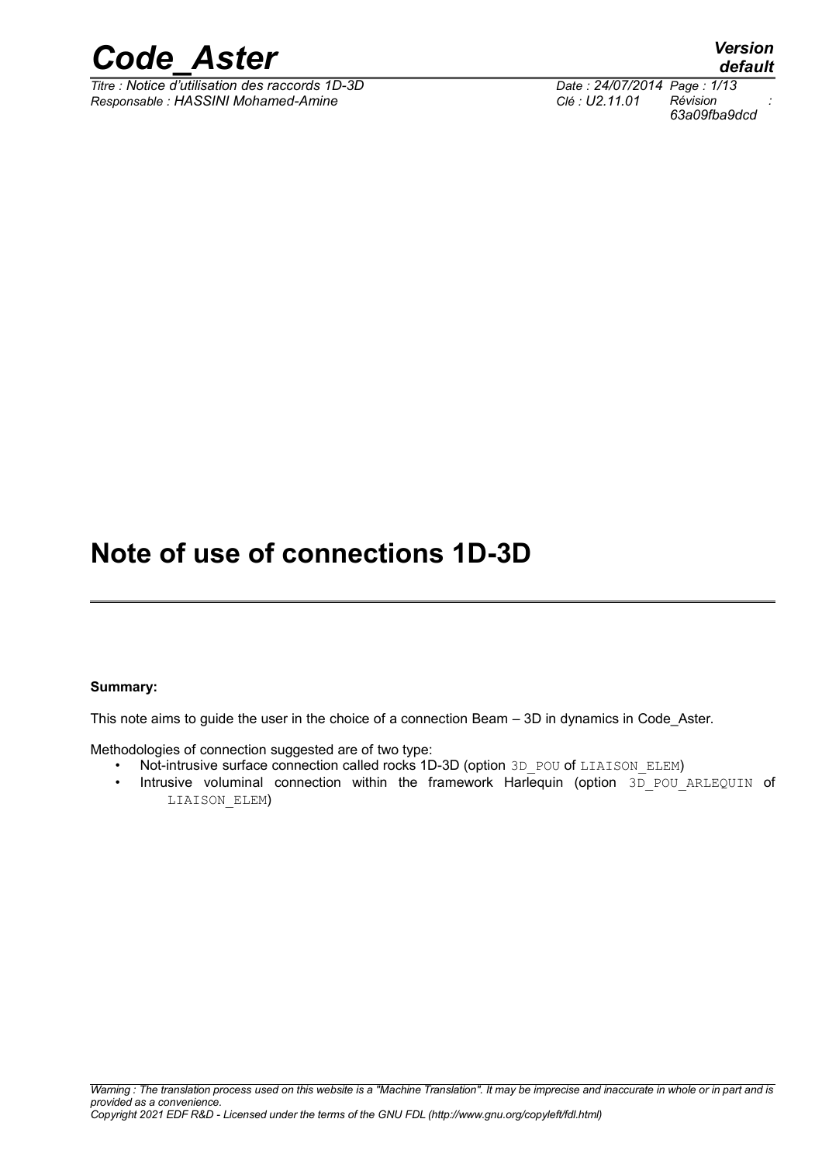

*Titre : Notice d'utilisation des raccords 1D-3D Date : 24/07/2014 Page : 1/13 Responsable : HASSINI Mohamed-Amine Clé : U2.11.01 Révision :*

*default 63a09fba9dcd*

## **Note of use of connections 1D-3D**

#### **Summary:**

This note aims to guide the user in the choice of a connection Beam – 3D in dynamics in Code\_Aster.

Methodologies of connection suggested are of two type:

- Not-intrusive surface connection called rocks 1D-3D (option 3D POU of LIAISON ELEM)
- Intrusive voluminal connection within the framework Harlequin (option 3D POU ARLEQUIN of LIAISON\_ELEM)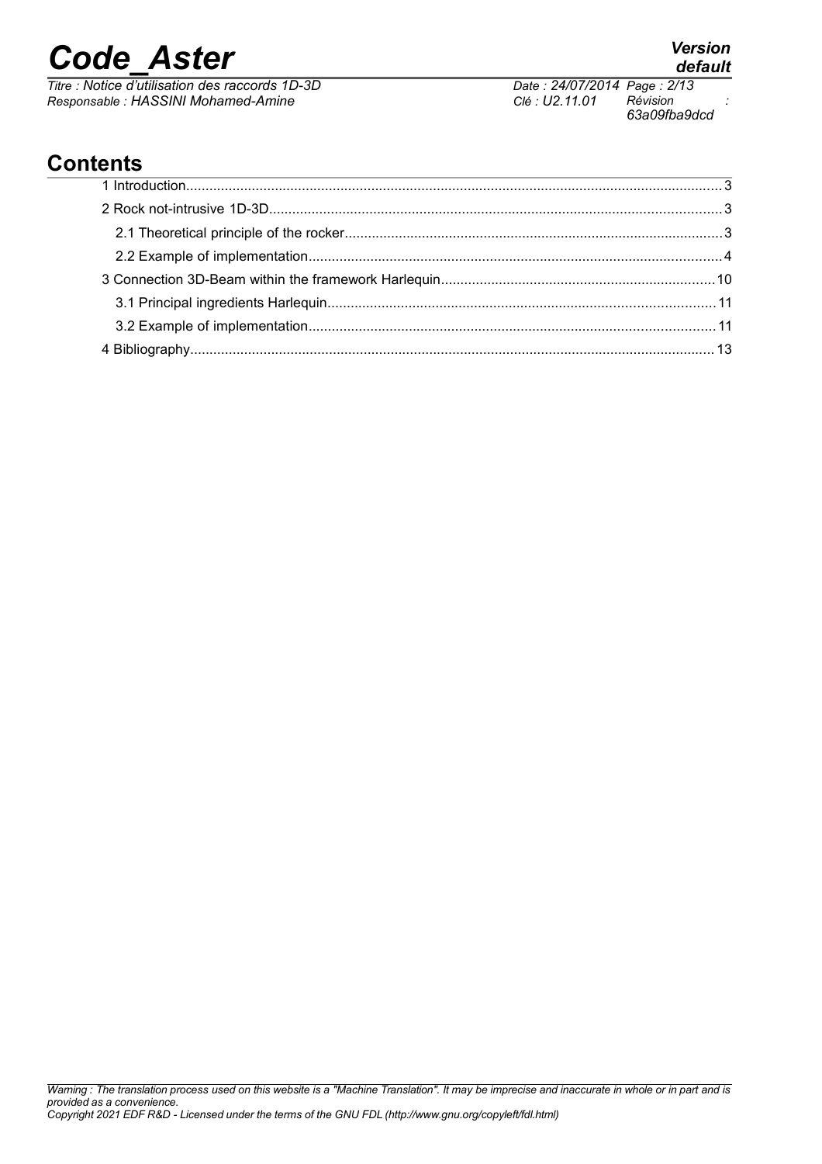*Titre : Notice d'utilisation des raccords 1D-3D Date : 24/07/2014 Page : 2/13 Responsable : HASSINI Mohamed-Amine Clé : U2.11.01 Révision :*

*63a09fba9dcd*

## **Contents**

# *default*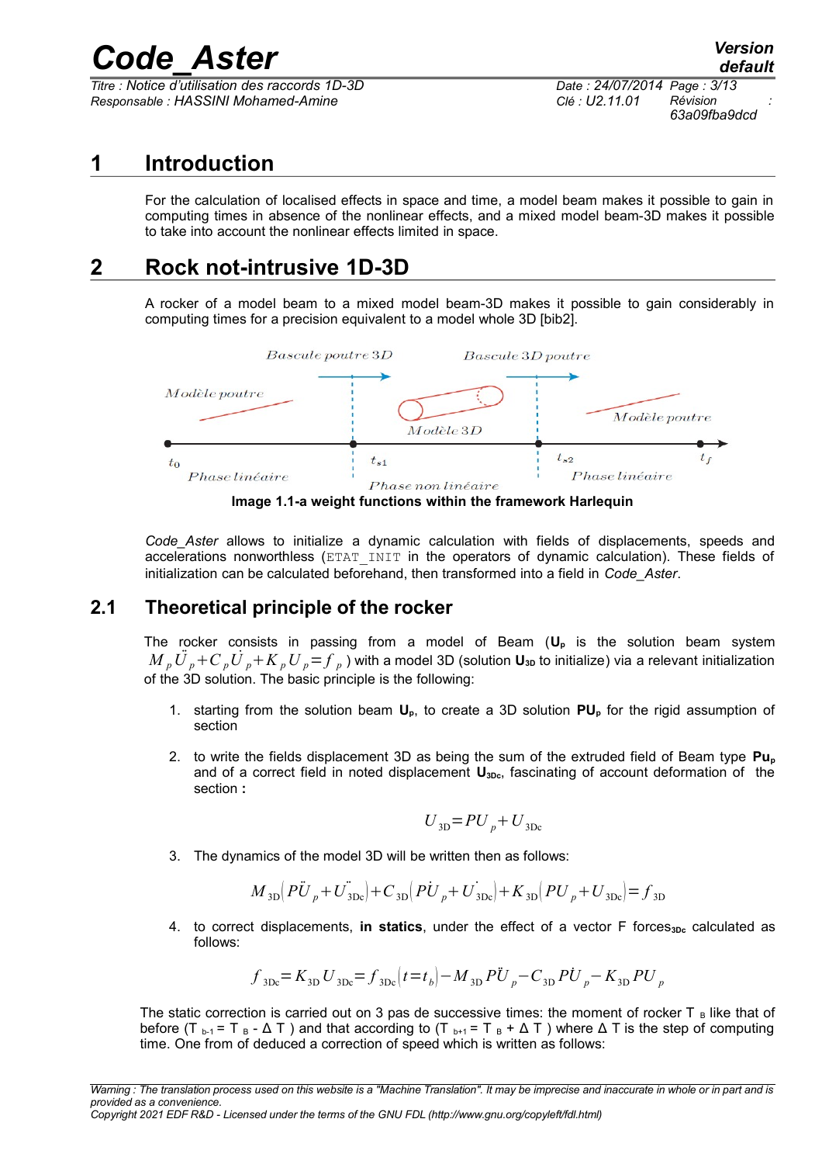*Titre : Notice d'utilisation des raccords 1D-3D Date : 24/07/2014 Page : 3/13 Responsable : HASSINI Mohamed-Amine Clé : U2.11.01 Révision :*

*63a09fba9dcd*

## **1 Introduction**

For the calculation of localised effects in space and time, a model beam makes it possible to gain in computing times in absence of the nonlinear effects, and a mixed model beam-3D makes it possible to take into account the nonlinear effects limited in space.

## **2 Rock not-intrusive 1D-3D**

A rocker of a model beam to a mixed model beam-3D makes it possible to gain considerably in computing times for a precision equivalent to a model whole 3D [bib2].



**Image 1.1-a weight functions within the framework Harlequin**

*Code\_Aster* allows to initialize a dynamic calculation with fields of displacements, speeds and accelerations nonworthless (ETAT INIT in the operators of dynamic calculation). These fields of initialization can be calculated beforehand, then transformed into a field in *Code\_Aster*.

## **2.1 Theoretical principle of the rocker**

The rocker consists in passing from a model of Beam (**U<sup>p</sup>** is the solution beam system  $M$   $_p$   $\ddot{U}$   $_p$  +  $C$   $_p$   $\dot{U}$   $_p$  +  $K$   $_p$   $U$   $_p$  =  $f$   $_p$  ) with a model 3D (solution  ${\bf U_{3D}}$  to initialize) via a relevant initialization of the 3D solution. The basic principle is the following:

- 1. starting from the solution beam **Up**, to create a 3D solution **PUp** for the rigid assumption of section
- 2. to write the fields displacement 3D as being the sum of the extruded field of Beam type **Pu<sup>p</sup>** and of a correct field in noted displacement  $U_{3Dc}$ , fascinating of account deformation of the section **:**

$$
U_{\text{3D}} = PU_p + U_{\text{3Dc}}
$$

3. The dynamics of the model 3D will be written then as follows:

$$
M_{3D}\left(P\ddot{U}_{p} + U^{*}_{3Dc}\right) + C_{3D}\left(P\dot{U}_{p} + U^{*}_{3Dc}\right) + K_{3D}\left(PU_{p} + U^{*}_{3Dc}\right) = f_{3D}
$$

4. to correct displacements, in statics, under the effect of a vector F forces<sub>3Dc</sub> calculated as follows:

$$
f_{\text{3Dc}} = K_{\text{3D}} U_{\text{3Dc}} = f_{\text{3Dc}} \left(t = t_b\right) - M_{\text{3D}} P \ddot{U}_p - C_{\text{3D}} P \dot{U}_p - K_{\text{3D}} P U_p
$$

The static correction is carried out on 3 pas de successive times: the moment of rocker  $T_B$  like that of before (T<sub>b-1</sub> = T<sub>B</sub> -  $\Delta$  T) and that according to (T<sub>b+1</sub> = T<sub>B</sub> +  $\Delta$  T) where  $\Delta$  T is the step of computing time. One from of deduced a correction of speed which is written as follows: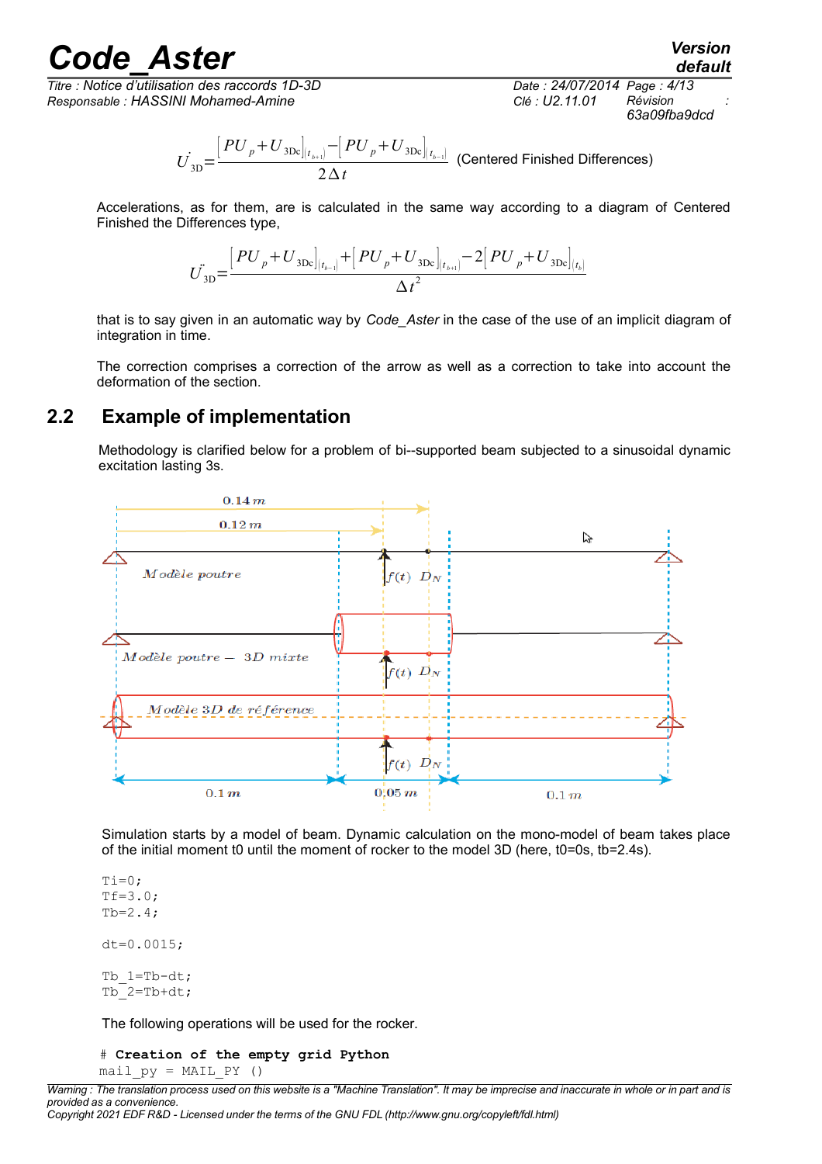# *Code*<br>*Code*<br>*Code d'utilisation des raccords 1D-3D*<br>*Date : 24/07/2014 Page : 4/13*

*Titre : Notice d'utilisation des raccords 1D-3D Date : 24/07/2014 Page : 4/13 Responsable : HASSINI Mohamed-Amine Clé : U2.11.01 Révision :*

*63a09fba9dcd*

$$
\dot{U_{\rm 3D}}\text{=}\frac{\left[PU_{p}+U_{\rm 3Dc}\right]_{\left(t_{b+1}\right)}-\left[PU_{p}+U_{\rm 3Dc}\right]_{\left(t_{b-1}\right)}}{2\,\Delta\,t}\;\text{ (Centered Finished Differences)}
$$

Accelerations, as for them, are is calculated in the same way according to a diagram of Centered Finished the Differences type,

$$
\dot{U}_{\text{3D}} = \frac{\left[PU_p + U_{\text{3Dc}}\right]_{(t_{b-1})} + \left[PU_p + U_{\text{3Dc}}\right]_{(t_{b+1})} - 2\left[PU_p + U_{\text{3Dc}}\right]_{(t_b)}}{\Delta t^2}
$$

that is to say given in an automatic way by *Code\_Aster* in the case of the use of an implicit diagram of integration in time.

The correction comprises a correction of the arrow as well as a correction to take into account the deformation of the section.

### **2.2 Example of implementation**

Methodology is clarified below for a problem of bi--supported beam subjected to a sinusoidal dynamic excitation lasting 3s.



Simulation starts by a model of beam. Dynamic calculation on the mono-model of beam takes place of the initial moment t0 until the moment of rocker to the model 3D (here, t0=0s, tb=2.4s).

 $Ti=0;$  $Tf=3.0;$  $Tb=2.4$ ; dt=0.0015; Tb\_1=Tb-dt;  $Tb$ <sup>-2=Tb+dt;</sup>

The following operations will be used for the rocker.

#### # **Creation of the empty grid Python** mail  $py = MAIL PY$  ()

*Warning : The translation process used on this website is a "Machine Translation". It may be imprecise and inaccurate in whole or in part and is provided as a convenience. Copyright 2021 EDF R&D - Licensed under the terms of the GNU FDL (http://www.gnu.org/copyleft/fdl.html)*

*default*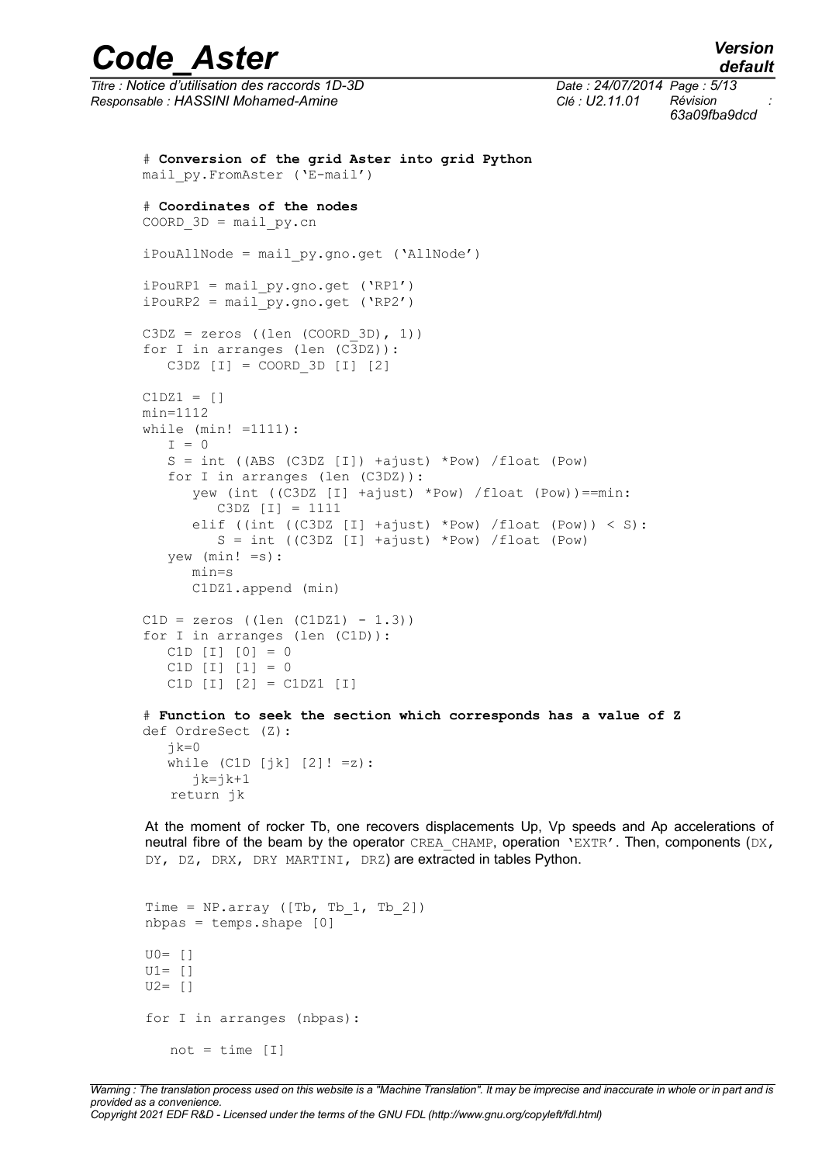*Titre : Notice d'utilisation des raccords 1D-3D Date : 24/07/2014 Page : 5/13 Responsable : HASSINI Mohamed-Amine Clé : U2.11.01 Révision :*

*63a09fba9dcd*

```
# Conversion of the grid Aster into grid Python
mail_py.FromAster ('E-mail')
# Coordinates of the nodes
COORD 3D = mail py.cmiPouAllNode = mail_py.gno.get ('AllNode') 
iPouRP1 = mail py.gno.get ('RP1')
iPouRP2 = mail py.gno.get ('RP2')
C3DZ = zeros ((len (COORD 3D), 1))for I in arranges (len (C3DZ)): 
    C3DZ [I] = COORD_3D [I] [2]
C1DZ1 = []min=1112
while (min! =1111):
   I = 0S = int ((ABS (C3DZ [I]) +ajust) *Pow) /float (Pow)
    for I in arranges (len (C3DZ)):
       yew (int ((C3DZ [I] +ajust) *Pow) /float (Pow))==min:
          C3DZ [I] = 1111
      elif ((int ((C3DZ [I] +ajust) *Pow) /float (Pow)) \langle S \rangle:
         S = int ((C3DZ [I] +ajust) *Pow) /float (Pow)
    yew (min! =s): 
       min=s
       C1DZ1.append (min)
C1D = zeros ((len (C1DZ1) - 1.3))for I in arranges (len (C1D)): 
    C1D [I] [0] = 0
   C1D [I] [1] = 0 C1D [I] [2] = C1DZ1 [I]
# Function to seek the section which corresponds has a value of Z
def OrdreSect (Z):
   jk=0while (ClD [jk] [2]! = z):
      jk=jk+1 return jk
```
At the moment of rocker Tb, one recovers displacements Up, Vp speeds and Ap accelerations of neutral fibre of the beam by the operator CREA\_CHAMP, operation 'EXTR'. Then, components (DX, DY, DZ, DRX, DRY MARTINI, DRZ) are extracted in tables Python.

```
Time = NP.array ([Tb, Tb 1, Tb 2])
nbpas = temps.shape [0]
U0 = \lceilU1= []
U2= []
for I in arranges (nbpas):
   not = time [I]
```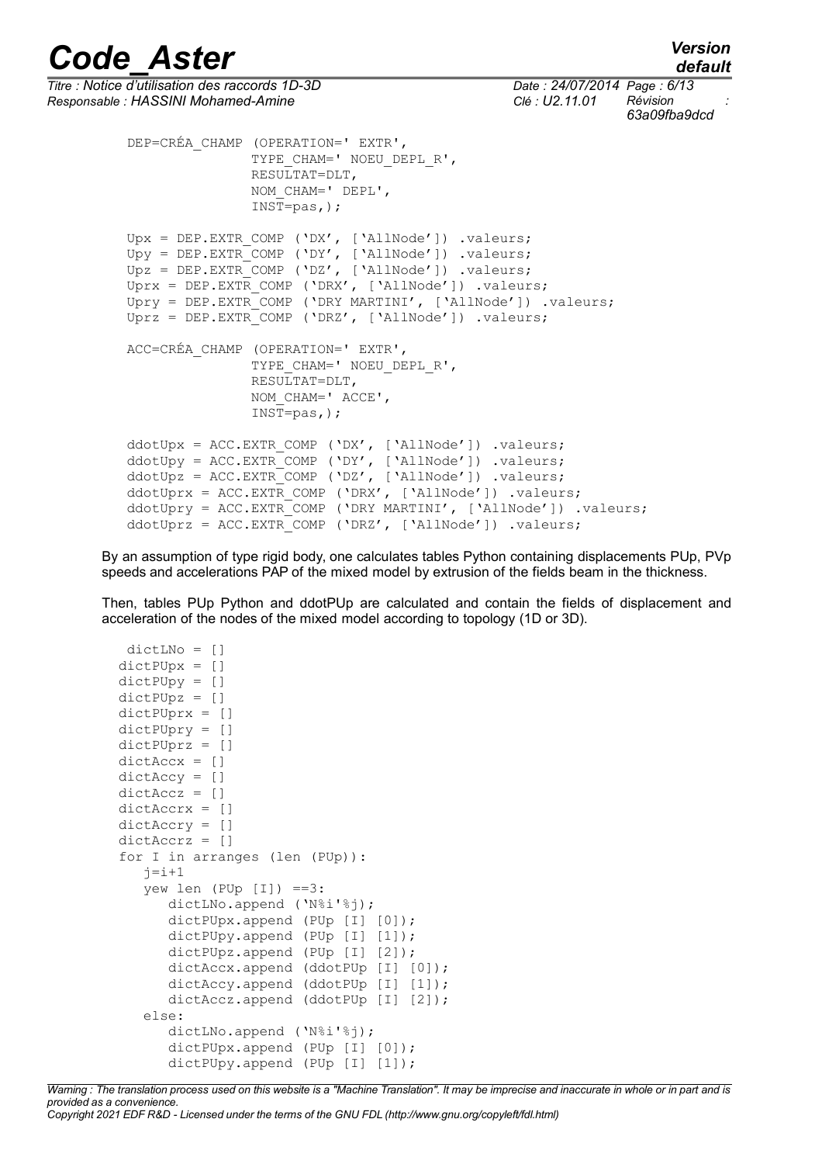*default*

```
Code_Aster Version
Titre : Notice d'utilisation des raccords 1D-3D Date : 24/07/2014 Page : 6/13
Responsable : HASSINI Mohamed-Amine Clé : U2.11.01 Révision :
                                                                      63a09fba9dcd
          DEP=CRÉA_CHAMP (OPERATION=' EXTR',
                        TYPE CHAM=' NOEU DEPL R',
                         RESULTAT=DLT,
                         NOM_CHAM=' DEPL',
                        INST=pas.);
         Upx = DEP.EXTR COMP ('DX', ['AllNode']) .valeurs;
         Upy = DEP.EXTRCOMP (`DY', ['AllNode']) .valeurs;Upz = DEP.EXTR COMP ('DZ', ['AllNode']) .valeurs;
         Uprx = DEP.EXTR COMP ('DRX', ['AllNode']) .valeurs;
          Upry = DEP.EXTR_COMP ('DRY MARTINI', ['AllNode']) .valeurs;
          Uprz = DEP.EXTR_COMP ('DRZ', ['AllNode']) .valeurs;
          ACC=CRÉA_CHAMP (OPERATION=' EXTR',
                        TYPE CHAM=' NOEU DEPL R',
                         RESULTAT=DLT,
                        NOM CHAM=' ACCE',
                         INST=pas,);
          ddotUpx = ACC.EXTR_COMP ('DX', ['AllNode']) .valeurs;
          ddotUpy = ACC.EXTR_COMP ('DY', ['AllNode']) .valeurs;
          ddotUpz = ACC.EXTR_COMP ('DZ', ['AllNode']) .valeurs;
         ddotUprx = ACC.EXTR COMP ('DRX', ['AllNode']) .valeurs;
          ddotUpry = ACC.EXTR_COMP ('DRY MARTINI', ['AllNode']) .valeurs;
         ddotUprz = ACC.EXTR COMP ('DRZ', ['AllNode']).valeurs;
```
By an assumption of type rigid body, one calculates tables Python containing displacements PUp, PVp speeds and accelerations PAP of the mixed model by extrusion of the fields beam in the thickness.

Then, tables PUp Python and ddotPUp are calculated and contain the fields of displacement and acceleration of the nodes of the mixed model according to topology (1D or 3D).

```
 dictLNo = []
dictPUpx = [] dictPUpy = []
 dictPUpz = []
 dictPUprx = []
 dictPUpry = []
 dictPUprz = []
dictAccx = [] dictAccy = []
 dictAccz = []
 dictAccrx = []
 dictAccry = []
 dictAccrz = []
 for I in arranges (len (PUp)):
   j=i+1yew len (PUp | I|) ==3:
       dictLNo.append ('N%i'%j);
      dictPUpx.append (PUp [I] [0]);
      dictPUpy.append (PUp [I] [1]);
      dictPUpz.append (PUp [I] [2]);
      dictAccx.append (ddotPUp [I] [0]);
      dictAccy.append (ddotPUp [I] [1]);
       dictAccz.append (ddotPUp [I] [2]);
    else:
       dictLNo.append ('N%i'%j);
       dictPUpx.append (PUp [I] [0]);
      dictPUpy.append (PUp [I] [1]);
```
*Warning : The translation process used on this website is a "Machine Translation". It may be imprecise and inaccurate in whole or in part and is provided as a convenience. Copyright 2021 EDF R&D - Licensed under the terms of the GNU FDL (http://www.gnu.org/copyleft/fdl.html)*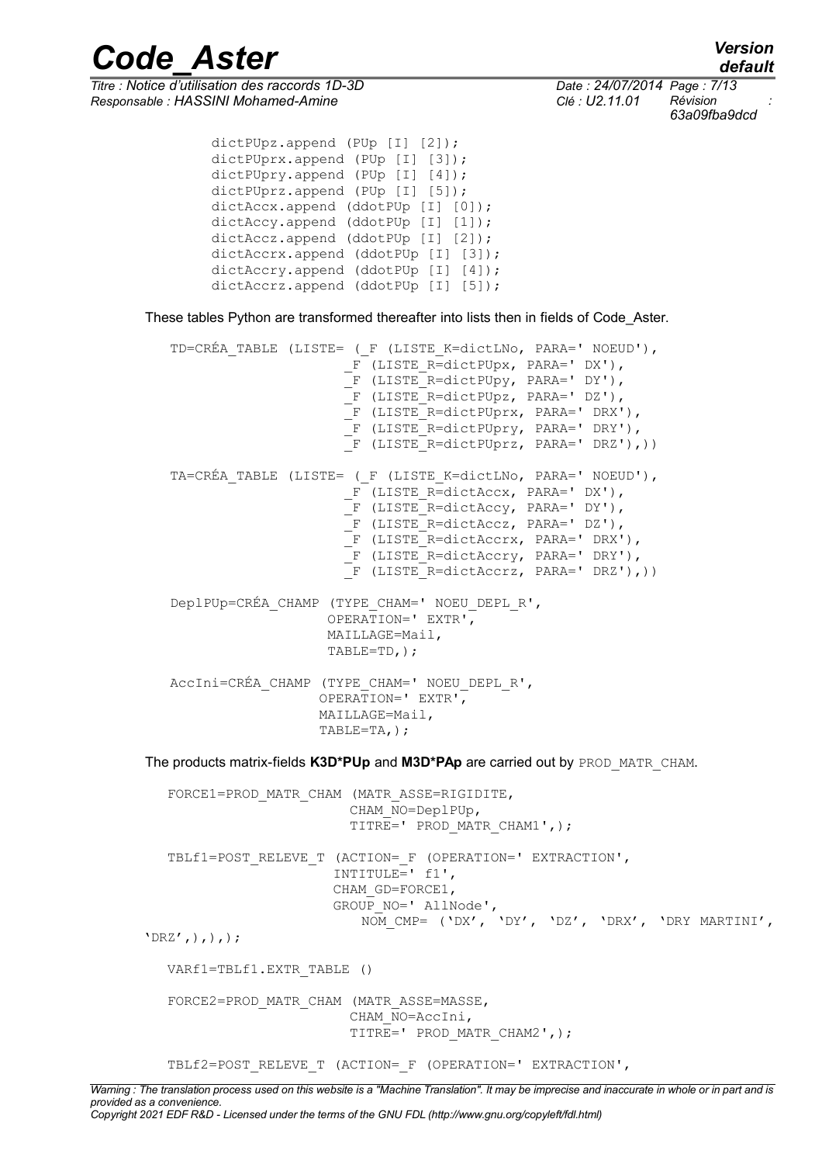*default*

*Code\_Aster Version*

*Responsable : HASSINI Mohamed-Amine Clé : U2.11.01 Révision :*

*Titre : Notice d'utilisation des raccords 1D-3D Date : 24/07/2014 Page : 7/13 63a09fba9dcd*

```
dictPUpz.append (PUp [I] [2]);
dictPUprx.append (PUp [I] [3]);
dictPUpry.append (PUp [I] [4]);
dictPUprz.append (PUp [I] [5]);
dictAccx.append (ddotPUp [I] [0]);
dictAccy.append (ddotPUp [I] [1]);
dictAccz.append (ddotPUp [I] [2]);
dictAccrx.append (ddotPUp [I] [3]);
 dictAccry.append (ddotPUp [I] [4]);
dictAccrz.append (ddotPUp [I] [5]);
```
These tables Python are transformed thereafter into lists then in fields of Code\_Aster.

```
 TD=CRÉA_TABLE (LISTE= (_F (LISTE_K=dictLNo, PARA=' NOEUD'),
                      F (LISTE_R=dictPUpx, PARA=' DX'),
                       _F (LISTE_R=dictPUpy, PARA=' DY'),
                      F (LISTE R= dictPUpz, PARA=' DZ'),
                       _F (LISTE_R=dictPUprx, PARA=' DRX'),
                       _F (LISTE_R=dictPUpry, PARA=' DRY'),
                      \overline{F} (LISTE R=dictPUprz, PARA=' DRZ'),))
TA=CRÉA TABLE (LISTE= ( F (LISTE K=dictLNo, PARA=' NOEUD'),
                      F (LISTE R=dictAccx, PARA=' DX'),
                       F (LISTE R=dictAccy, PARA=' DY'),
                       _F (LISTE_R=dictAccz, PARA=' DZ'),
                       F (LISTE R=dictAccrx, PARA=' DRX'),
                       F (LISTE R=dictAccry, PARA=' DRY'),
                      \overline{F} (LISTE R=dictAccrz, PARA=' DRZ'),))
 DeplPUp=CRÉA_CHAMP (TYPE_CHAM=' NOEU_DEPL_R',
                     OPERATION=' EXTR',
                     MAILLAGE=Mail,
                     TABLE=TD,);
 AccIni=CRÉA_CHAMP (TYPE_CHAM=' NOEU_DEPL_R',
                    OPERATION=' EXTR',
                    MAILLAGE=Mail,
                    TABLE=TA,);
```
The products matrix-fields **K3D\*PUp** and **M3D\*PAp** are carried out by PROD\_MATR\_CHAM.

 FORCE1=PROD\_MATR\_CHAM (MATR\_ASSE=RIGIDITE, CHAM\_NO=DeplPUp, TITRE=' PROD\_MATR\_CHAM1',); TBLf1=POST\_RELEVE\_T (ACTION=\_F (OPERATION=' EXTRACTION', INTITULE= $'$  f1', CHAM\_GD=FORCE1, GROUP  $NO=$ ' AllNode', NOM\_CMP= ('DX', 'DY', 'DZ', 'DRX', 'DRY MARTINI',  $'DRZ',),),$ ); VARf1=TBLf1.EXTR\_TABLE () FORCE2=PROD\_MATR\_CHAM (MATR\_ASSE=MASSE, CHAM\_NO=AccIni, TITRE=' PROD MATR CHAM2',);

TBLf2=POST\_RELEVE\_T (ACTION=\_F (OPERATION=' EXTRACTION',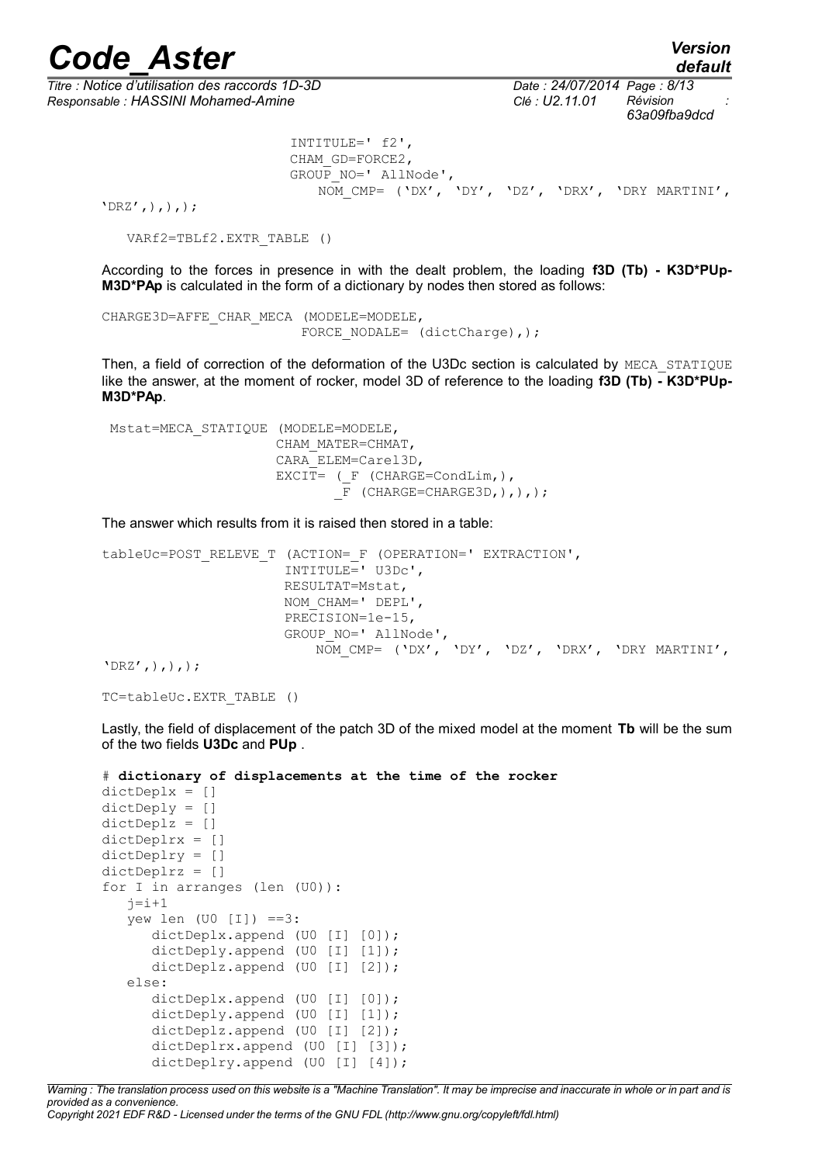*Titre : Notice d'utilisation des raccords 1D-3D Date : 24/07/2014 Page : 8/13 Responsable : HASSINI Mohamed-Amine Clé : U2.11.01 Révision :*

*default 63a09fba9dcd*

```
 INTITULE=' f2',
 CHAM_GD=FORCE2, 
GROUP NO=' AllNode',
    NOM_CMP= ('DX', 'DY', 'DZ', 'DRX', 'DRY MARTINI',
```
 $'DRZ',),),$ );

VARf2=TBLf2.EXTR\_TABLE ()

According to the forces in presence in with the dealt problem, the loading **f3D (Tb) - K3D\*PUp-M3D\*PAp** is calculated in the form of a dictionary by nodes then stored as follows:

```
CHARGE3D=AFFE_CHAR_MECA (MODELE=MODELE,
                         FORCE NODALE= (dictCharge), ) ;
```
Then, a field of correction of the deformation of the U3Dc section is calculated by MECA STATIOUE like the answer, at the moment of rocker, model 3D of reference to the loading **f3D (Tb) - K3D\*PUp-M3D\*PAp**.

```
 Mstat=MECA_STATIQUE (MODELE=MODELE,
                        CHAM_MATER=CHMAT,
                        CARA_ELEM=Carel3D,
                       EXCIT= ( F (CHARGE=CondLim, ),
                               \overline{F} (CHARGE=CHARGE3D,),),);
```
The answer which results from it is raised then stored in a table:

```
tableUc=POST_RELEVE_T (ACTION=_F (OPERATION=' EXTRACTION',
                        INTITULE=' U3Dc',
                       RESULTAT=Mstat,
                       NOM_CHAM=' DEPL',
                       PRECISION=1e-15,
                        GROUP_NO=' AllNode',
                            NOM_CMP= ('DX', 'DY', 'DZ', 'DRX', 'DRY MARTINI',
```
 $'DRZ',),),$ );

```
TC=tableUc.EXTR_TABLE ()
```
Lastly, the field of displacement of the patch 3D of the mixed model at the moment **Tb** will be the sum of the two fields **U3Dc** and **PUp** .

```
# dictionary of displacements at the time of the rocker
dictDeplx = []
dictDeply = []
dictDeplz = []
dictDeplrx = []
dictDeplry = []
dictDeplrz = []
for I in arranges (len (U0)):
   j=i+1yew len (U0 [I]) == 3:
      dictDeplx.append (U0 [I] [0]);
      dictDeply.append (U0 [I] [1]);
       dictDeplz.append (U0 [I] [2]);
    else:
      dictDeplx.append (U0 [I] [0]);
       dictDeply.append (U0 [I] [1]);
       dictDeplz.append (U0 [I] [2]);
      dictDeplrx.append (U0 [I] [3]);
      dictDeplry.append (U0 [I] [4]);
```
*Warning : The translation process used on this website is a "Machine Translation". It may be imprecise and inaccurate in whole or in part and is provided as a convenience.*

*Copyright 2021 EDF R&D - Licensed under the terms of the GNU FDL (http://www.gnu.org/copyleft/fdl.html)*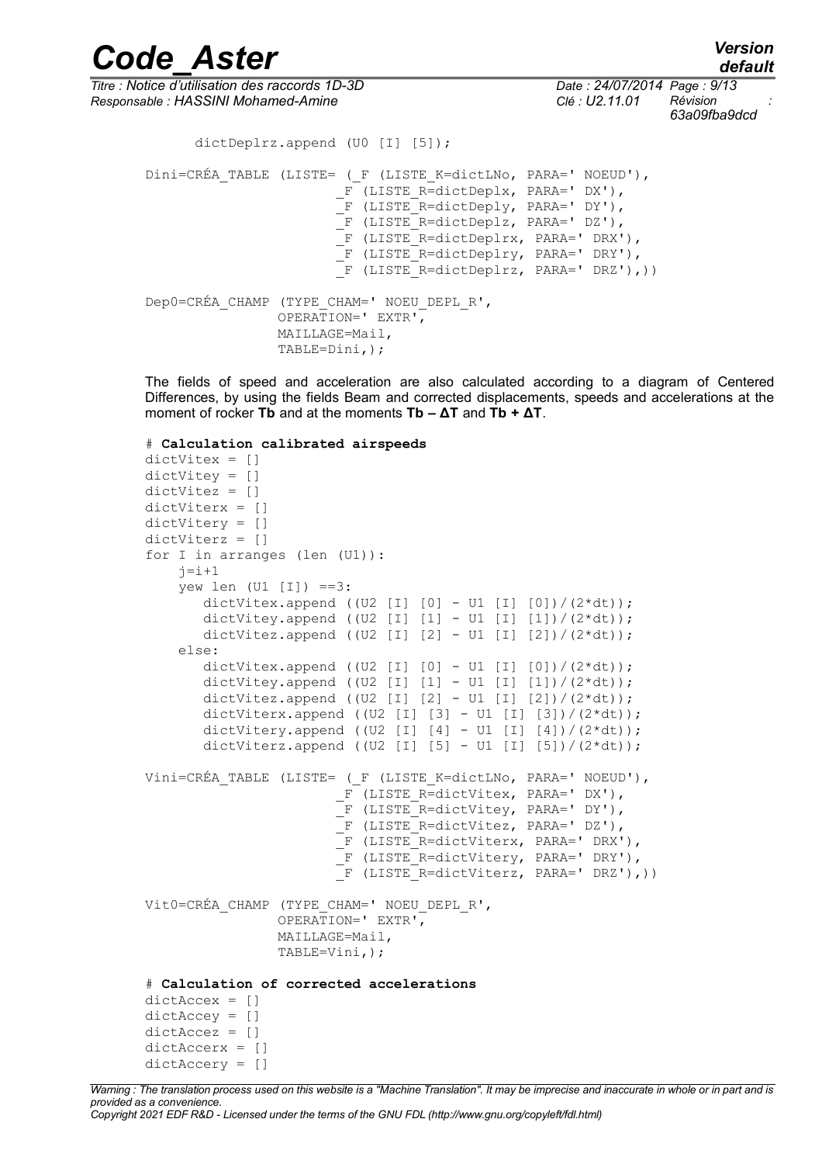*Code\_Aster Version default*

*Titre : Notice d'utilisation des raccords 1D-3D Date : 24/07/2014 Page : 9/13 Responsable : HASSINI Mohamed-Amine Clé : U2.11.01 Révision :*

*63a09fba9dcd*

```
dictDeplrz.append (U0 [I] [5]);
Dini=CRÉA TABLE (LISTE= ( F (LISTE K=dictLNo, PARA=' NOEUD'),
                        F (LISTE R=dictDeplx, PARA=' DX'),
                         -<br>F (LISTE R=dictDeply, PARA=' DY'),
                         F (LISTE R=dictDeplz, PARA=' DZ'),
                        F (LISTE R=dictDeplrx, PARA=' DRX'),
                         _F (LISTE_R=dictDeplry, PARA=' DRY'),
                         _F (LISTE_R=dictDeplrz, PARA=' DRZ'),))
Dep0=CRÉA_CHAMP (TYPE_CHAM=' NOEU_DEPL_R',
                 OPERATION=' EXTR',
                 MAILLAGE=Mail,
                 TABLE=Dini,);
```
The fields of speed and acceleration are also calculated according to a diagram of Centered Differences, by using the fields Beam and corrected displacements, speeds and accelerations at the moment of rocker **Tb** and at the moments **Tb – ΔT** and **Tb + ΔT**.

```
# Calculation calibrated airspeeds
dictVitex = []
dictVitey = []
dictVitez = []
dictViterx = []
dictVitery = []
dictViterz = []
for I in arranges (len (U1)):
    j=i+1vew len (U1 \mid I1) ==3:
       dictVitex.append ((U2 [I] [0] - U1 [I] [0]) /(2*dt));
       dictVitey.append ((U2 [I] [1] - U1 [I] [1])/(2*dt));
       dictVitez.append ((U2 [I] [2] - U1 [I] [2])/(2*dt));
     else:
       dictVitex.append ((U2 [I] [0] - U1 [I] [0])/(2*dt));
       dictVitey.append ((U2 [I] [1] - U1 [I] [1])/(2*dt));
       dictVitez.append ((U2 [I] [2] - U1 [I] [2]) /(2*dt));
       dictViterx.append ((U2 [I] [3] - U1 [I] [3])/(2*dt));
       dictVitery.append ((U2 [I] [4] - U1 [I] [4]) /(2*dt));
       dictViterz.append ((U2 [I] [5] - U1 [I] [5])/(2*dt));
Vini=CRÉA TABLE (LISTE= ( F (LISTE K=dictLNo, PARA=' NOEUD'),
                        F (LISTE R=dictVitex, PARA=' DX'),
                        F (LISTE R=dictVitey, PARA=' DY'),
                        \overline{F} (LISTE R=dictVitez, PARA=' DZ'),
                        F (LISTE R=dictViterx, PARA=' DRX'),
                        F (LISTE R=dictVitery, PARA=' DRY'),
                        \overline{F} (LISTE R=dictViterz, PARA=' DRZ'),))
Vit0=CRÉA_CHAMP (TYPE_CHAM=' NOEU_DEPL_R',
                 OPERATION=' EXTR',
                 MAILLAGE=Mail,
                 TABLE=Vini,);
# Calculation of corrected accelerations
dictAccex = []
dictAccept = []dictAccez = []
dictAccerx = []
dictAccery = []
```
*Warning : The translation process used on this website is a "Machine Translation". It may be imprecise and inaccurate in whole or in part and is provided as a convenience. Copyright 2021 EDF R&D - Licensed under the terms of the GNU FDL (http://www.gnu.org/copyleft/fdl.html)*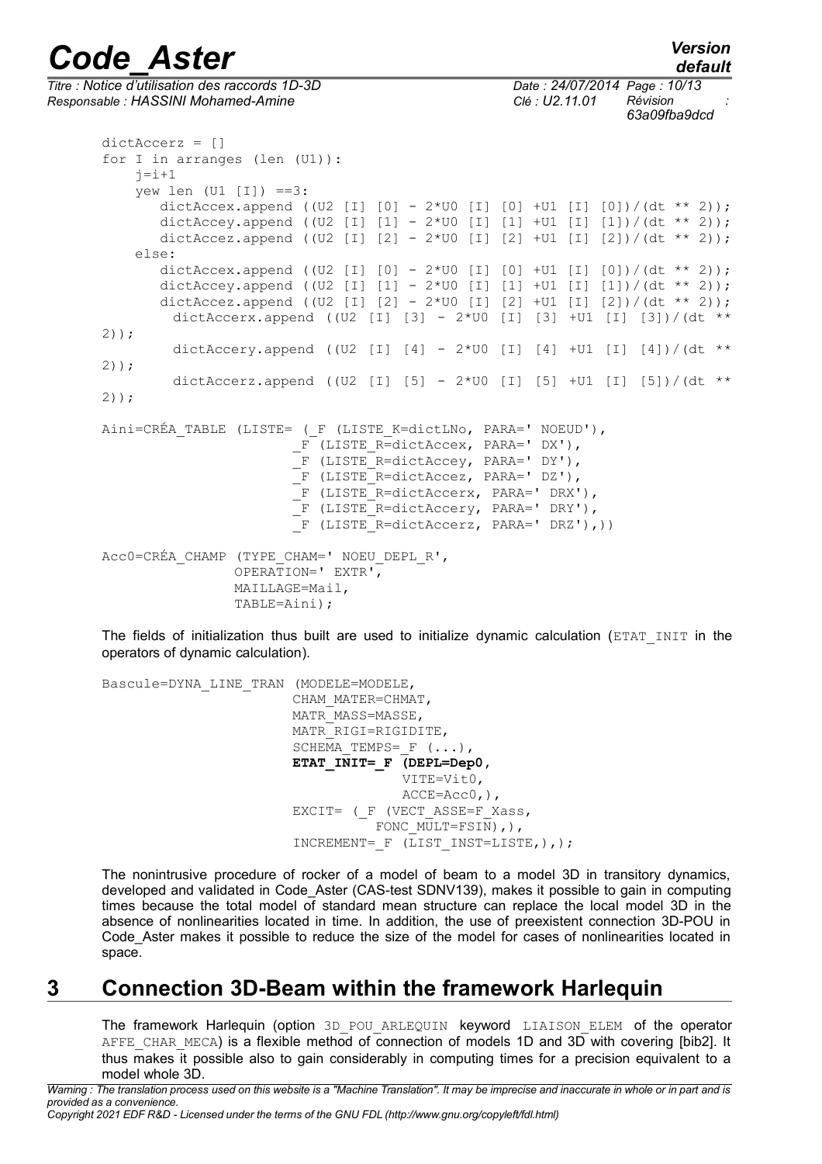*Titre : Notice d'utilisation des raccords 1D-3D Date : 24/07/2014 Page : 10/13 Responsable : HASSINI Mohamed-Amine Clé : U2.11.01 Révision :*

*63a09fba9dcd*

dictAccerz = [] for I in arranges (len (U1)):  $j=i+1$ yew len  $(U1 \mid I)$  ==3: dictAccex.append ((U2 [I] [0] - 2\*U0 [I] [0] +U1 [I] [0])/(dt \*\* 2)); dictAccey.append ((U2 [I] [1] -  $2*$ U0 [I] [1] +U1 [I] [1])/(dt \*\* 2)); dictAccez.append ((U2 [I]  $[2] - 2*U0$  [I]  $[2] + U1$  [I]  $[2]$ )/(dt \*\* 2)); else: dictAccex.append ((U2 [I] [0] - 2\*U0 [I] [0] +U1 [I] [0])/(dt \*\* 2)); dictAccey.append ((U2 [I] [1] - 2\*U0 [I] [1] +U1 [I] [1])/(dt \*\* 2));<br>dictAccez.append ((U2 [I] [2] - 2\*U0 [I] [2] +U1 [I] [2])/(dt \*\* 2)); dictAccez.append ((U2 [I]  $[2] - 2*U0$  [I] dictAccerx.append ((U2 [I] [3] - 2\*U0 [I] [3] +U1 [I] [3])/(dt \*\* 2)); dictAccery.append ((U2 [I]  $[4]$  - 2\*U0 [I]  $[4]$  +U1 [I]  $[4]$ )/(dt \*\* 2)); dictAccerz.append ((U2 [I] [5] -  $2*U0$  [I] [5] +U1 [I] [5])/(dt \*\* 2)); Aini=CRÉA TABLE (LISTE= ( F (LISTE K=dictLNo, PARA=' NOEUD'), F (LISTE R=dictAccex, PARA=' DX'), F (LISTE R=dictAccey, PARA=' DY'), F (LISTE R=dictAccez, PARA=' DZ'), \_F (LISTE\_R=dictAccerx, PARA=' DRX'), F (LISTE R=dictAccery, PARA=' DRY'),  $\overline{F}$  (LISTE R=dictAccerz, PARA=' DRZ'),)) Acc0=CRÉA\_CHAMP (TYPE\_CHAM=' NOEU\_DEPL\_R', OPERATION=' EXTR', MAILLAGE=Mail, TABLE=Aini);

The fields of initialization thus built are used to initialize dynamic calculation (ETAT\_INIT in the operators of dynamic calculation).

Bascule=DYNA\_LINE\_TRAN (MODELE=MODELE, CHAM\_MATER=CHMAT, MATR\_MASS=MASSE, MATR\_RIGI=RIGIDITE, SCHEMA TEMPS=  $F$  (...), **ETAT\_INIT=\_F (DEPL=Dep0,** VITE=Vit0, ACCE=Acc0,), EXCIT= ( F (VECT ASSE=F Xass, FONC MULT=FSIN), ), INCREMENT=  $F$  (LIST INST=LISTE, ), );

The nonintrusive procedure of rocker of a model of beam to a model 3D in transitory dynamics, developed and validated in Code Aster (CAS-test SDNV139), makes it possible to gain in computing times because the total model of standard mean structure can replace the local model 3D in the absence of nonlinearities located in time. In addition, the use of preexistent connection 3D-POU in Code Aster makes it possible to reduce the size of the model for cases of nonlinearities located in space.

## **3 Connection 3D-Beam within the framework Harlequin**

The framework Harlequin (option 3D POU ARLEQUIN keyword LIAISON ELEM of the operator AFFE CHAR MECA) is a flexible method of connection of models 1D and 3D with covering [bib2]. It thus makes it possible also to gain considerably in computing times for a precision equivalent to a model whole 3D.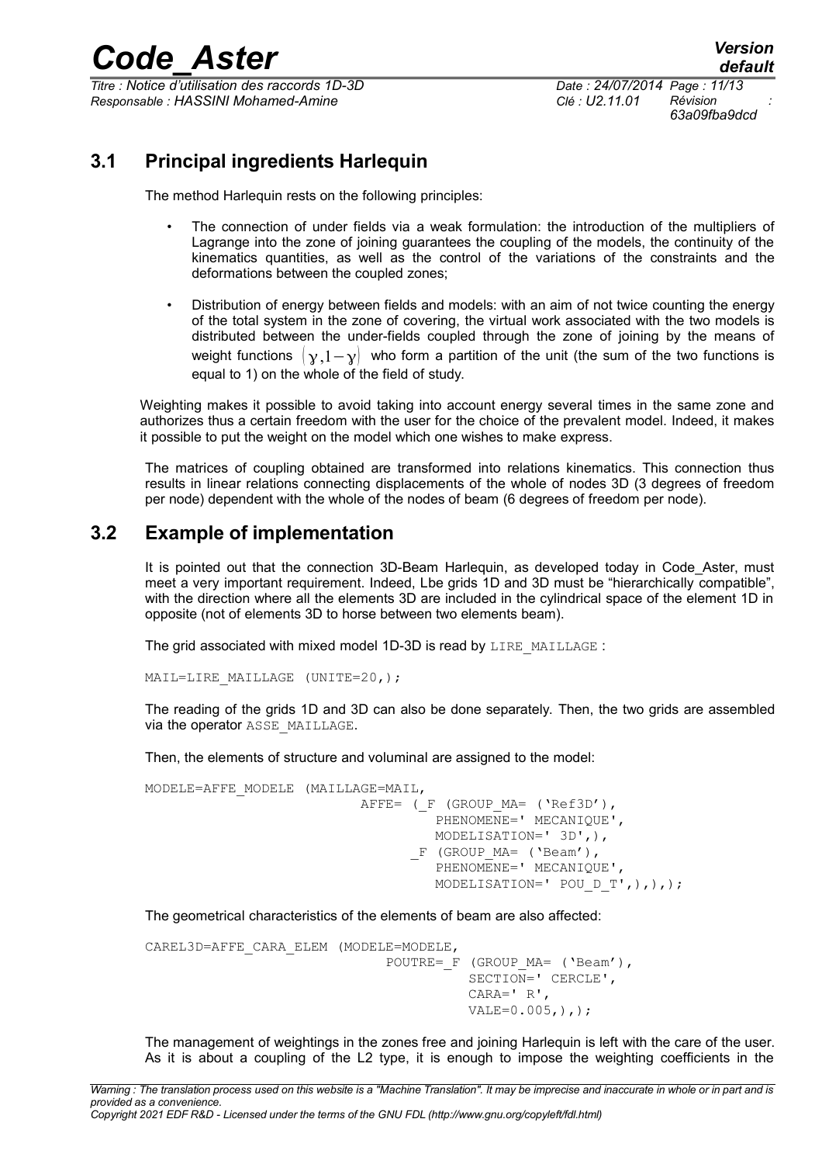*Titre : Notice d'utilisation des raccords 1D-3D Date : 24/07/2014 Page : 11/13 Responsable : HASSINI Mohamed-Amine Clé : U2.11.01 Révision :*

*63a09fba9dcd*

## **3.1 Principal ingredients Harlequin**

The method Harlequin rests on the following principles:

- The connection of under fields via a weak formulation: the introduction of the multipliers of Lagrange into the zone of joining guarantees the coupling of the models, the continuity of the kinematics quantities, as well as the control of the variations of the constraints and the deformations between the coupled zones;
- Distribution of energy between fields and models: with an aim of not twice counting the energy of the total system in the zone of covering, the virtual work associated with the two models is distributed between the under-fields coupled through the zone of joining by the means of weight functions  $\begin{pmatrix} \gamma & 1-\gamma \end{pmatrix}$  who form a partition of the unit (the sum of the two functions is equal to 1) on the whole of the field of study.

Weighting makes it possible to avoid taking into account energy several times in the same zone and authorizes thus a certain freedom with the user for the choice of the prevalent model. Indeed, it makes it possible to put the weight on the model which one wishes to make express.

The matrices of coupling obtained are transformed into relations kinematics. This connection thus results in linear relations connecting displacements of the whole of nodes 3D (3 degrees of freedom per node) dependent with the whole of the nodes of beam (6 degrees of freedom per node).

## **3.2 Example of implementation**

It is pointed out that the connection 3D-Beam Harlequin, as developed today in Code Aster, must meet a very important requirement. Indeed, Lbe grids 1D and 3D must be "hierarchically compatible", with the direction where all the elements 3D are included in the cylindrical space of the element 1D in opposite (not of elements 3D to horse between two elements beam).

The grid associated with mixed model 1D-3D is read by LIRE\_MAILLAGE :

MAIL=LIRE MAILLAGE (UNITE=20,);

The reading of the grids 1D and 3D can also be done separately. Then, the two grids are assembled via the operator ASSE\_MAILLAGE.

Then, the elements of structure and voluminal are assigned to the model:

```
MODELE=AFFE_MODELE (MAILLAGE=MAIL,
                          AFFE= (F (GROUP MA= ('Ref3D'),
                                   PHENOMENE=' MECANIQUE',
                                    MODELISATION=' 3D',),
                                 F (GROUP MA= ('Beam'),
                                   PHENOMENE=' MECANIQUE',
                                    MODELISATION=' POU_D_T',),),);
```
The geometrical characteristics of the elements of beam are also affected:

```
CAREL3D=AFFE_CARA_ELEM (MODELE=MODELE,
                              POUTRE= F (GROUP MA= ('Beam'),
                                         SECTION=' CERCLE',
                                         CARA=' R',
                                        VALE=0.005, ),;
```
The management of weightings in the zones free and joining Harlequin is left with the care of the user. As it is about a coupling of the L2 type, it is enough to impose the weighting coefficients in the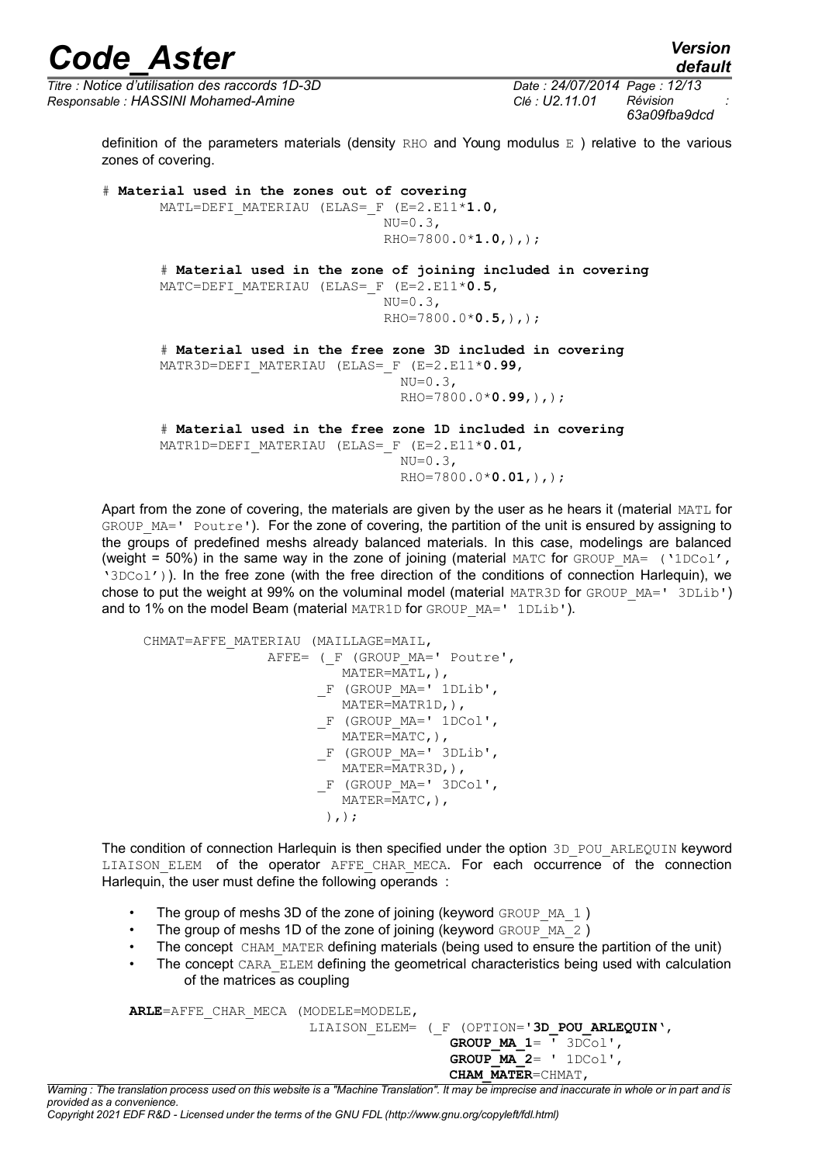*default*

*Titre : Notice d'utilisation des raccords 1D-3D Date : 24/07/2014 Page : 12/13 Responsable : HASSINI Mohamed-Amine Clé : U2.11.01 Révision :*

*63a09fba9dcd*

definition of the parameters materials (density RHO and Young modulus  $E$  ) relative to the various zones of covering.

# **Material used in the zones out of covering** MATL=DEFI\_MATERIAU (ELAS=\_F (E=2.E11\***1.0**,  $NU=0.3$ , RHO=7800.0\***1.0**,),); # **Material used in the zone of joining included in covering** MATC=DEFI\_MATERIAU (ELAS=\_F (E=2.E11\***0.5**,  $NU=0.3$ , RHO=7800.0\***0.5**,),); # **Material used in the free zone 3D included in covering** MATR3D=DEFI\_MATERIAU (ELAS=\_F (E=2.E11\***0.99**,  $NU=0.3$ , RHO=7800.0\***0.99**,),); # **Material used in the free zone 1D included in covering** MATR1D=DEFI\_MATERIAU (ELAS=\_F (E=2.E11\***0.01**,  $NU=0.3$ ,

RHO=7800.0\***0.01**,),);

Apart from the zone of covering, the materials are given by the user as he hears it (material MATL for GROUP MA=' Poutre'). For the zone of covering, the partition of the unit is ensured by assigning to the groups of predefined meshs already balanced materials. In this case, modelings are balanced (weight = 50%) in the same way in the zone of joining (material MATC for GROUP MA= ('1DCol', '3DCol')). In the free zone (with the free direction of the conditions of connection Harlequin), we chose to put the weight at 99% on the voluminal model (material MATR3D for GROUP MA=' 3DLib') and to 1% on the model Beam (material MATR1D for GROUP  $MA = ' 1DLib')$ .

 CHMAT=AFFE\_MATERIAU (MAILLAGE=MAIL, AFFE= (F (GROUP MA=' Poutre', MATER=MATL,), F (GROUP MA=' 1DLib', MATER=MATR1D,), \_F (GROUP\_MA=' 1DCol', MATER=MATC,), \_F (GROUP\_MA=' 3DLib', MATER=MATR3D,), \_F (GROUP\_MA=' 3DCol', MATER=MATC,),  $)$ ,  $)$ ;

The condition of connection Harlequin is then specified under the option 3D POU ARLEQUIN keyword LIAISON ELEM of the operator AFFE CHAR MECA. For each occurrence of the connection Harlequin, the user must define the following operands :

- The group of meshs 3D of the zone of joining (keyword GROUP  $MA_1$ )
- The group of meshs 1D of the zone of joining (keyword GROUP  $MA$  2)
- The concept CHAM MATER defining materials (being used to ensure the partition of the unit)
- The concept CARA\_ELEM defining the geometrical characteristics being used with calculation of the matrices as coupling

**ARLE**=AFFE\_CHAR\_MECA (MODELE=MODELE, LIAISON\_ELEM= (\_F (OPTION='**3D\_POU\_ARLEQUIN**', **GROUP\_MA\_1**= ' 3DCol', **GROUP\_MA\_2**= ' 1DCol', **CHAM\_MATER**=CHMAT,

*Warning : The translation process used on this website is a "Machine Translation". It may be imprecise and inaccurate in whole or in part and is provided as a convenience. Copyright 2021 EDF R&D - Licensed under the terms of the GNU FDL (http://www.gnu.org/copyleft/fdl.html)*